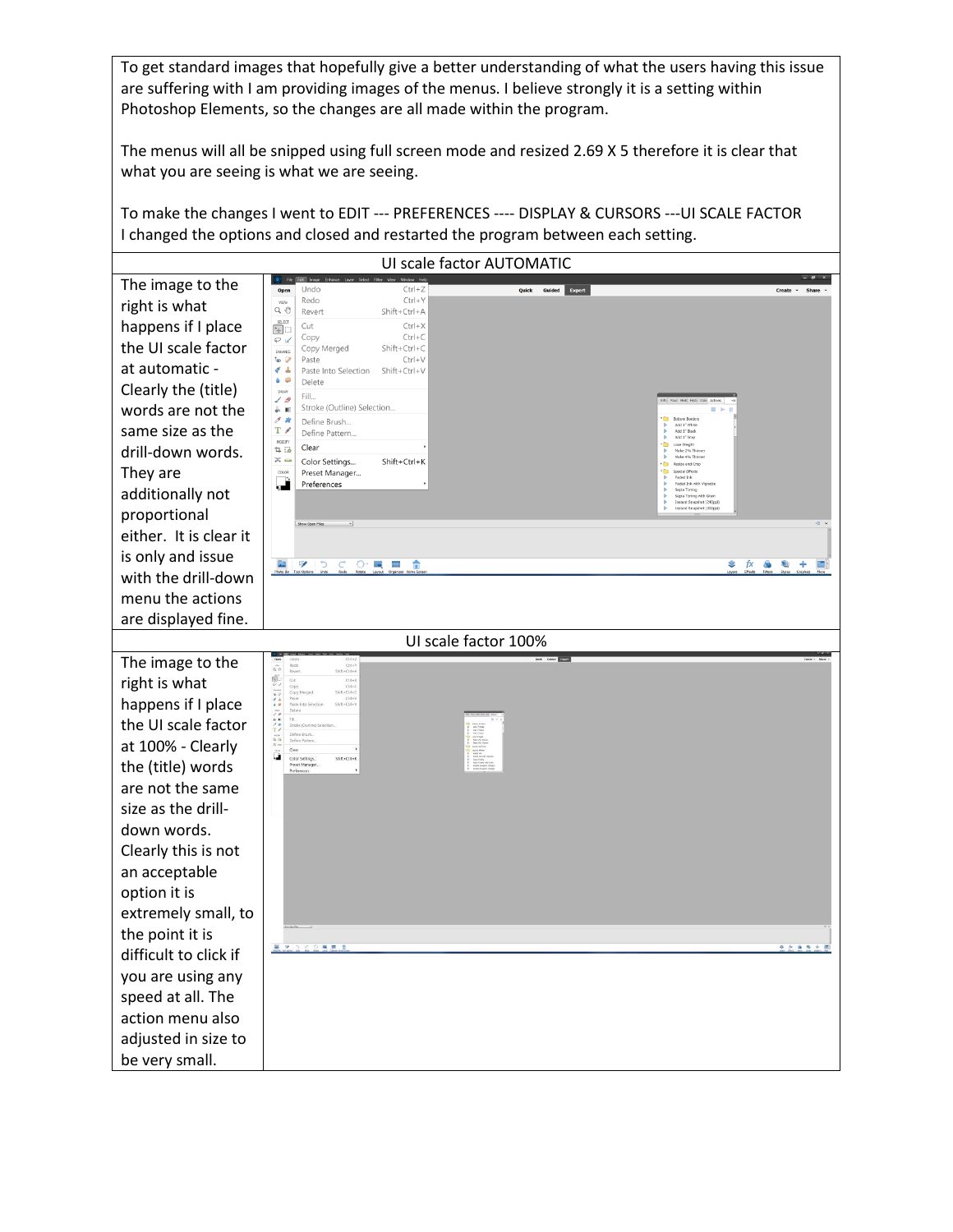To get standard images that hopefully give a better understanding of what the users having this issue are suffering with I am providing images of the menus. I believe strongly it is a setting within Photoshop Elements, so the changes are all made within the program.

The menus will all be snipped using full screen mode and resized 2.69 X 5 therefore it is clear that what you are seeing is what we are seeing.

To make the changes I went to EDIT --- PREFERENCES ---- DISPLAY & CURSORS ---UI SCALE FACTOR I changed the options and closed and restarted the program between each setting.

| UI scale factor AUTOMATIC |                                                                                                                                                                                                                                                                                                                                                                                                                                                                                                                                                                                                                                                                                                                                                                      |                                                                  |  |
|---------------------------|----------------------------------------------------------------------------------------------------------------------------------------------------------------------------------------------------------------------------------------------------------------------------------------------------------------------------------------------------------------------------------------------------------------------------------------------------------------------------------------------------------------------------------------------------------------------------------------------------------------------------------------------------------------------------------------------------------------------------------------------------------------------|------------------------------------------------------------------|--|
| The image to the          | Undo<br>$Ctrl + Z$<br>Quick Guided Expert<br>Open                                                                                                                                                                                                                                                                                                                                                                                                                                                                                                                                                                                                                                                                                                                    | Create                                                           |  |
| right is what             | Redo<br>$Ctrl + Y$<br>VIEW<br>Q ®<br>Revert<br>Shift+Ctrl+A                                                                                                                                                                                                                                                                                                                                                                                                                                                                                                                                                                                                                                                                                                          |                                                                  |  |
| happens if I place        | $\begin{array}{c} \text{SEET} \\ \begin{bmatrix} \mathbf{k}_+ \\ \mathbf{r}_- \end{bmatrix} \begin{bmatrix} \mathbf{r}_- \\ \mathbf{r}_- \end{bmatrix} \end{array}$<br>Cut<br>$Ctrl + X$<br>$Ctrl + C$<br>Copy                                                                                                                                                                                                                                                                                                                                                                                                                                                                                                                                                       |                                                                  |  |
| the UI scale factor       | $\varphi$ of<br>$Shift+Ctrl+C$<br>Copy Merged<br>ENHANCE                                                                                                                                                                                                                                                                                                                                                                                                                                                                                                                                                                                                                                                                                                             |                                                                  |  |
| at automatic -            | $Ctrl + V$<br>Paste<br>もの<br>$\sigma =$<br>Paste Into Selection<br>Shift+Ctrl+V                                                                                                                                                                                                                                                                                                                                                                                                                                                                                                                                                                                                                                                                                      |                                                                  |  |
| Clearly the (title)       | $\bullet$ $\circ$<br>Delete<br>DRAW<br>Fill<br>10                                                                                                                                                                                                                                                                                                                                                                                                                                                                                                                                                                                                                                                                                                                    |                                                                  |  |
| words are not the         | Stroke (Outline) Selection<br>第1回<br>$\mathcal{J}$ is                                                                                                                                                                                                                                                                                                                                                                                                                                                                                                                                                                                                                                                                                                                |                                                                  |  |
| same size as the          | Define Brush<br>$T \nearrow$<br>Define Pattern<br>MODIFY                                                                                                                                                                                                                                                                                                                                                                                                                                                                                                                                                                                                                                                                                                             | AALT WAR<br>Add 1" Black<br>Add 1" Black<br>Add 1" Gray          |  |
| drill-down words.         | Clear<br>$\overline{4}$ is<br>$\times$ in<br>Shift+Ctrl+K<br>Color Settings                                                                                                                                                                                                                                                                                                                                                                                                                                                                                                                                                                                                                                                                                          | Lose Weight<br>Make 2% Thir<br>Make 4% Thinne<br>Resize and Crop |  |
| They are                  | CCLOR<br>Preset Manager<br>٦<br>Preferences                                                                                                                                                                                                                                                                                                                                                                                                                                                                                                                                                                                                                                                                                                                          | Special Effects<br>Føded Ink<br>Faded Ink with Vigne             |  |
| additionally not          |                                                                                                                                                                                                                                                                                                                                                                                                                                                                                                                                                                                                                                                                                                                                                                      | Sepia Toning<br>Sepia Toning<br>Instant Snapshot (240ppl)        |  |
| proportional              | Show Open Files<br>$\sim$                                                                                                                                                                                                                                                                                                                                                                                                                                                                                                                                                                                                                                                                                                                                            | Instant Snapshot (300pp)                                         |  |
| either. It is clear it    |                                                                                                                                                                                                                                                                                                                                                                                                                                                                                                                                                                                                                                                                                                                                                                      |                                                                  |  |
| is only and issue         | $\overline{\mathscr{L}}$<br>G.<br>$\odot \cdot \mathbb{R}$ $\blacksquare$<br>D<br>€                                                                                                                                                                                                                                                                                                                                                                                                                                                                                                                                                                                                                                                                                  | ٥<br>fx<br><b>Co</b><br>$\Box$<br>÷                              |  |
| with the drill-down       |                                                                                                                                                                                                                                                                                                                                                                                                                                                                                                                                                                                                                                                                                                                                                                      |                                                                  |  |
| menu the actions          |                                                                                                                                                                                                                                                                                                                                                                                                                                                                                                                                                                                                                                                                                                                                                                      |                                                                  |  |
| are displayed fine.       |                                                                                                                                                                                                                                                                                                                                                                                                                                                                                                                                                                                                                                                                                                                                                                      |                                                                  |  |
|                           | UI scale factor 100%                                                                                                                                                                                                                                                                                                                                                                                                                                                                                                                                                                                                                                                                                                                                                 |                                                                  |  |
| The image to the          | Gate <b>Errett</b><br>Ctrl+<br>$\alpha$ $\sigma$<br>Shift+Ctrl+                                                                                                                                                                                                                                                                                                                                                                                                                                                                                                                                                                                                                                                                                                      |                                                                  |  |
| right is what             | 鳴<br>Git<br>Ctrl+X<br>Ctrl+C<br>Shift+Ctrl+C<br>Copy<br>Copy Merg                                                                                                                                                                                                                                                                                                                                                                                                                                                                                                                                                                                                                                                                                                    |                                                                  |  |
| happens if I place        | $\frac{1}{2} \sum_{n=1}^{\infty} \frac{1}{n} \sum_{n=1}^{\infty} \frac{1}{n} \sum_{n=1}^{\infty} \frac{1}{n} \sum_{n=1}^{\infty} \frac{1}{n} \sum_{n=1}^{\infty} \frac{1}{n} \sum_{n=1}^{\infty} \frac{1}{n} \sum_{n=1}^{\infty} \frac{1}{n} \sum_{n=1}^{\infty} \frac{1}{n} \sum_{n=1}^{\infty} \frac{1}{n} \sum_{n=1}^{\infty} \frac{1}{n} \sum_{n=1}^{\infty} \frac{1}{n} \sum_{n$<br>$SMH + Cnd +$                                                                                                                                                                                                                                                                                                                                                               |                                                                  |  |
| the UI scale factor       | Stroke (Out<br>Define Brush<br>Define 8                                                                                                                                                                                                                                                                                                                                                                                                                                                                                                                                                                                                                                                                                                                              |                                                                  |  |
| at 100% - Clearly         | $\begin{array}{l} \mbox{Infinite fields} \\ \mbox{Infinite fields} \\ \mbox{Infinite fields} \\ \mbox{Infinite fields} \\ \mbox{Infinite fields} \\ \mbox{Infinite fields} \\ \mbox{Infinite fields} \\ \mbox{Infinite fields} \\ \mbox{Infinite fields} \\ \mbox{Infinite fields} \\ \mbox{Infinite fields} \\ \mbox{Infinite fields} \\ \mbox{Infinite fields} \\ \mbox{Infinite fields} \\ \mbox{Infinite fields} \\ \mbox{Infinite fields} \\ \mbox{Infinite fields} \\ \mbox{Infinite fields} \\ \mbox{Infinite fields} \\ \mbox{Infinite fields} \\ \mbox{Infinite fields} \\ \mbox{Infinite fields} \\ \mbox{Infinite fields} \\ \mbox{Infinite$<br>$\begin{array}{l} \frac{1}{2} \frac{1}{2} \\ \frac{1}{2} \end{array}$<br>Clear<br>ã<br>$Shift + Crit + K$ |                                                                  |  |
| the (title) words         | Color Settings.<br>Preset Manager<br>Preferences                                                                                                                                                                                                                                                                                                                                                                                                                                                                                                                                                                                                                                                                                                                     |                                                                  |  |
| are not the same          |                                                                                                                                                                                                                                                                                                                                                                                                                                                                                                                                                                                                                                                                                                                                                                      |                                                                  |  |
| size as the drill-        |                                                                                                                                                                                                                                                                                                                                                                                                                                                                                                                                                                                                                                                                                                                                                                      |                                                                  |  |
| down words.               |                                                                                                                                                                                                                                                                                                                                                                                                                                                                                                                                                                                                                                                                                                                                                                      |                                                                  |  |
| Clearly this is not       |                                                                                                                                                                                                                                                                                                                                                                                                                                                                                                                                                                                                                                                                                                                                                                      |                                                                  |  |
| an acceptable             |                                                                                                                                                                                                                                                                                                                                                                                                                                                                                                                                                                                                                                                                                                                                                                      |                                                                  |  |
| option it is              |                                                                                                                                                                                                                                                                                                                                                                                                                                                                                                                                                                                                                                                                                                                                                                      |                                                                  |  |
| extremely small, to       |                                                                                                                                                                                                                                                                                                                                                                                                                                                                                                                                                                                                                                                                                                                                                                      |                                                                  |  |
| the point it is           | 用用金<br>9920                                                                                                                                                                                                                                                                                                                                                                                                                                                                                                                                                                                                                                                                                                                                                          | 9 京 备 有 子                                                        |  |
| difficult to click if     |                                                                                                                                                                                                                                                                                                                                                                                                                                                                                                                                                                                                                                                                                                                                                                      |                                                                  |  |
| you are using any         |                                                                                                                                                                                                                                                                                                                                                                                                                                                                                                                                                                                                                                                                                                                                                                      |                                                                  |  |
| speed at all. The         |                                                                                                                                                                                                                                                                                                                                                                                                                                                                                                                                                                                                                                                                                                                                                                      |                                                                  |  |
| action menu also          |                                                                                                                                                                                                                                                                                                                                                                                                                                                                                                                                                                                                                                                                                                                                                                      |                                                                  |  |
| adjusted in size to       |                                                                                                                                                                                                                                                                                                                                                                                                                                                                                                                                                                                                                                                                                                                                                                      |                                                                  |  |
| be very small.            |                                                                                                                                                                                                                                                                                                                                                                                                                                                                                                                                                                                                                                                                                                                                                                      |                                                                  |  |